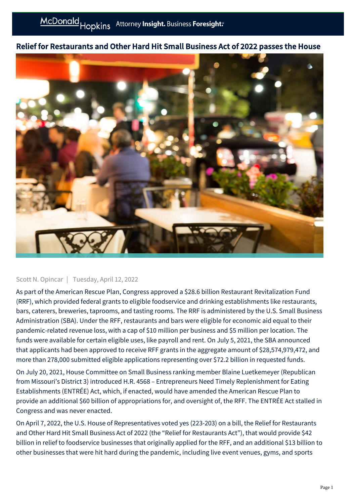## Relief for Restaurants and Other Hard Hit Small Business Act of 2022 passes the House



## Scott N. Opincar | Tuesday, April 12, 2022

As part of the American Rescue Plan, Congress approved a \$28.6 billion Restaurant Revitalization Fund (RRF), which provided federal grants to eligible foodservice and drinking establishments like restaurants, bars, caterers, breweries, taprooms, and tasting rooms. The RRF is administered by the U.S. Small Business Administration (SBA). Under the RFF, restaurants and bars were eligible for economic aid equal to their pandemic-related revenue loss, with a cap of \$10 million per business and \$5 million per location. The funds were available for certain eligible uses, like payroll and rent. On July 5, 2021, the SBA announced that applicants had been approved to receive RFF grants in the aggregate amount of \$28,574,979,472, and more than 278,000 submitted eligible applications representing over \$72.2 billion in requested funds.

On July 20, 2021, House Committee on Small Business ranking member Blaine Luetkemeyer (Republican from Missouri's District 3) introduced H.R. 4568 – Entrepreneurs Need Timely Replenishment for Eating Establishments (ENTRÉE) Act, which, if enacted, would have amended the American Rescue Plan to provide an additional \$60 billion of appropriations for, and oversight of, the RFF. The ENTRÉE Act stalled in Congress and was never enacted.

On April 7, 2022, the U.S. House of Representatives voted yes (223-203) on a bill, the Relief for Restaurants and Other Hard Hit Small Business Act of 2022 (the "Relief for Restaurants Act"), that would provide \$42 billion in relief to foodservice businesses that originally applied for the RFF, and an additional \$13 billion to other businesses that were hit hard during the pandemic, including live event venues, gyms, and sports